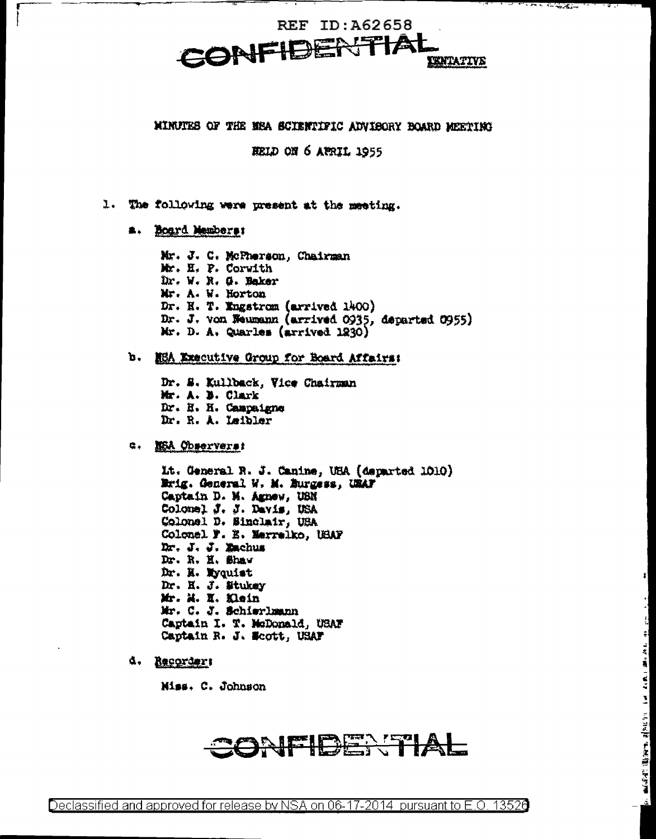### MINUTES OF THE MEA SCIENTIFIC ADVISORY BOARD MEETING

HELD ON 6 APRIL 1955

- 1. The following were present at the meeting.
	- a. Board Members:

Mr. J. C. McPherson, Chairman Mr. H. P. Corwith Dr. W. R. G. Baker Mr. A. W. Horton Dr. N. T. Engstrom (arrived 1400) Dr. J. von Weumann (arrived 0935, departed 0955) Mr. D. A. Quarles (arrived 1230)

### b. NEA Executive Group for Board Affairs:

Dr. S. Kullback, Vice Chairman Mr. A. B. Clark Dr. H. H. Campaigne Dr. R. A. Leibler

#### G. NEA Observers:

Lt. General R. J. Canine, USA (departed 1010) Erig. General W. M. Burgess, URAF Captain D. M. Agnew, USN Colonel J. J. Davis, USA Colonel D. Sinclair, USA Colonel F. E. Merrelko, USAF Dr. J. J. Zachus Dr. R. H. Shaw Dr. H. Wyquist Dr. H. J. Stukey Mr. M. H. Klein Mr. C. J. Schierlmann Captain I. T. McDonald, USAF Captain R. J. Scott, USAF

d. Recorder:

Miss. C. Johnson

## CONFIDENTIAL

 $-3.1 -$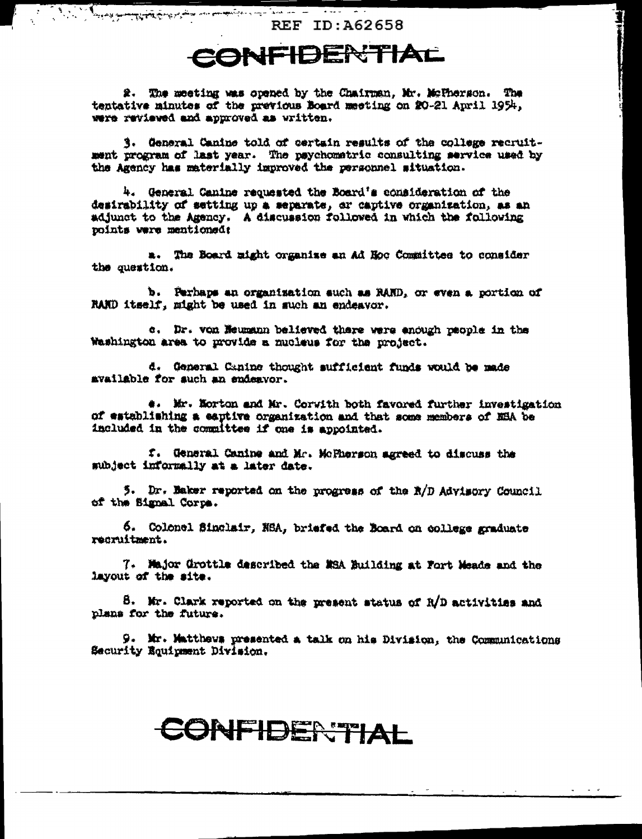Comment of the comment of the second state of the comment of the second state of the second state of the second state of the second state of the second state of the second state of the second state of the second state of t **REF ID: A62658** 

1

## CONFIDENTIAL

2. The meeting was opened by the Chairman, Mr. McTherson. The tentative minutes of the previous Board meeting on 20-21 April 1954, were reviewed and approved as written.

3. General Canine told of certain results of the college recruitment program of last year. The psychometric consulting service used by the Agency has materially improved the personnel situation.

4. General Canine requested the Board's consideration of the desirability of setting up a separate, or captive organization, as an adjunct to the Agency. A discussion followed in which the following points were mentioned:

a. The Board might organize an Ad Hoc Committee to consider the question.

b. Perhaps an organization such as RAND, or even a portion of RAND itself, might be used in such an endeavor.

c. Dr. von Heumann believed there were enough paople in the Washington area to provide a mucleus for the project.

d. General Canine thought sufficient funds would be made available for such an endeavor.

4. Mr. Norton and Mr. Corwith both favored further investigation of establishing a eaptive organization and that some members of NBA be included in the committee if one is appointed.

f. General Canine and Mr. McPherson agreed to discuss the subject informally at a later date.

5. Dr. Baker reported on the progress of the R/D Advisory Council of the Signal Corps.

6. Colonel Sinclair, NSA, briefed the Board on college graduate recruitment.

7. Major Grottle described the MSA Building at Fort Meade and the layout of the site.

8. Mr. Clark reported on the present status of R/D activities and plans for the future.

9. Mr. Matthews presented a talk on his Division, the Communications Security Equipment Division.

# CONFIDERTIAL